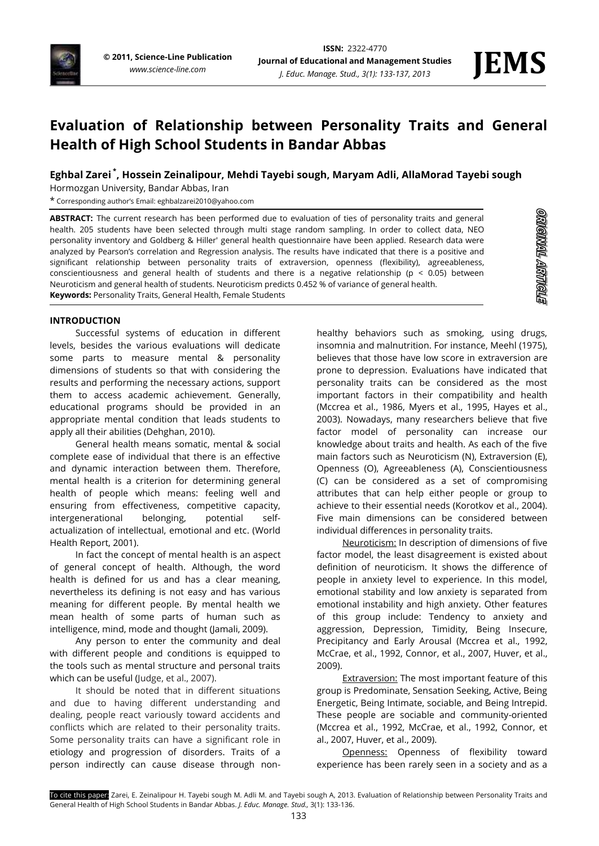

**STONARY TRANGAEO** 

# **Evaluation of Relationship between Personality Traits and General Health of High School Students in Bandar Abbas**

## **Eghbal Zarei \* , Hossein Zeinalipour, Mehdi Tayebi sough, Maryam Adli, AllaMorad Tayebi sough**

Hormozgan University, Bandar Abbas, Iran

\* Corresponding author's Email: eghbalzarei2010@yahoo.com

**ABSTRACT:** The current research has been performed due to evaluation of ties of personality traits and general health. 205 students have been selected through multi stage random sampling. In order to collect data, NEO personality inventory and Goldberg & Hiller' general health questionnaire have been applied. Research data were analyzed by Pearson's correlation and Regression analysis. The results have indicated that there is a positive and significant relationship between personality traits of extraversion, openness (flexibility), agreeableness, conscientiousness and general health of students and there is a negative relationship ( $p < 0.05$ ) between Neuroticism and general health of students. Neuroticism predicts 0.452 % of variance of general health. **Keywords:** Personality Traits, General Health, Female Students

## **INTRODUCTION**

Successful systems of education in different levels, besides the various evaluations will dedicate some parts to measure mental & personality dimensions of students so that with considering the results and performing the necessary actions, support them to access academic achievement. Generally, educational programs should be provided in an appropriate mental condition that leads students to apply all their abilities (Dehghan, 2010).

General health means somatic, mental & social complete ease of individual that there is an effective and dynamic interaction between them. Therefore, mental health is a criterion for determining general health of people which means: feeling well and ensuring from effectiveness, competitive capacity, intergenerational belonging, potential selfactualization of intellectual, emotional and etc. (World Health Report, 2001).

In fact the concept of mental health is an aspect of general concept of health. Although, the word health is defined for us and has a clear meaning, nevertheless its defining is not easy and has various meaning for different people. By mental health we mean health of some parts of human such as intelligence, mind, mode and thought (Jamali, 2009).

Any person to enter the community and deal with different people and conditions is equipped to the tools such as mental structure and personal traits which can be useful (Judge, et al., 2007).

It should be noted that in different situations and due to having different understanding and dealing, people react variously toward accidents and conflicts which are related to their personality traits. Some personality traits can have a significant role in etiology and progression of disorders. Traits of a person indirectly can cause disease through non-

healthy behaviors such as smoking, using drugs, insomnia and malnutrition. For instance, Meehl (1975), believes that those have low score in extraversion are prone to depression. Evaluations have indicated that personality traits can be considered as the most important factors in their compatibility and health (Mccrea et al., 1986, Myers et al., 1995, Hayes et al., 2003). Nowadays, many researchers believe that five factor model of personality can increase our knowledge about traits and health. As each of the five main factors such as Neuroticism (N), Extraversion (E), Openness (O), Agreeableness (A), Conscientiousness (C) can be considered as a set of compromising attributes that can help either people or group to achieve to their essential needs (Korotkov et al., 2004). Five main dimensions can be considered between individual differences in personality traits.

Neuroticism: In description of dimensions of five factor model, the least disagreement is existed about definition of neuroticism. It shows the difference of people in anxiety level to experience. In this model, emotional stability and low anxiety is separated from emotional instability and high anxiety. Other features of this group include: Tendency to anxiety and aggression, Depression, Timidity, Being Insecure, Precipitancy and Early Arousal (Mccrea et al., 1992, McCrae, et al., 1992, Connor, et al., 2007, Huver, et al., 2009).

**Extraversion:** The most important feature of this group is Predominate, Sensation Seeking, Active, Being Energetic, Being Intimate, sociable, and Being Intrepid. These people are sociable and community-oriented (Mccrea et al., 1992, McCrae, et al., 1992, Connor, et al., 2007, Huver, et al., 2009).

Openness: Openness of flexibility toward experience has been rarely seen in a society and as a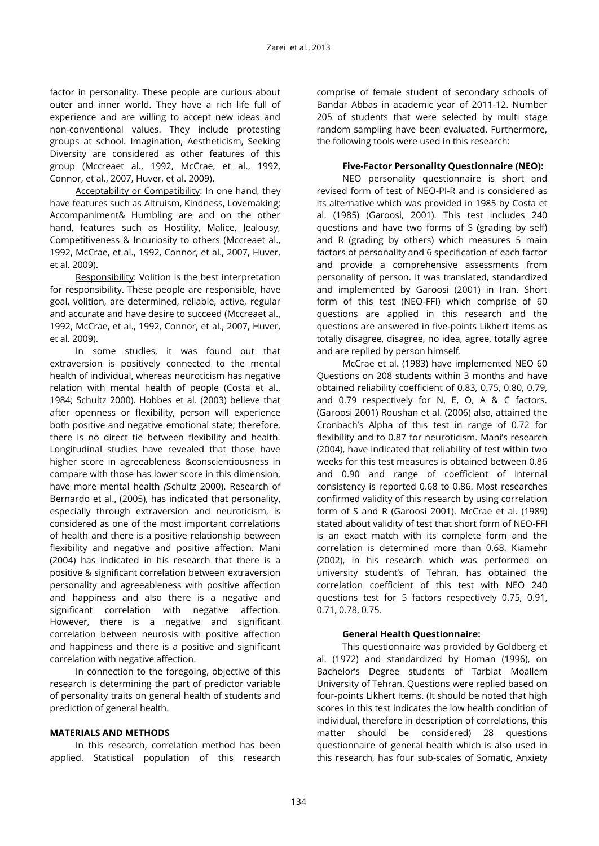factor in personality. These people are curious about outer and inner world. They have a rich life full of experience and are willing to accept new ideas and non-conventional values. They include protesting groups at school. Imagination, Aestheticism, Seeking Diversity are considered as other features of this group (Mccreaet al., 1992, McCrae, et al., 1992, Connor, et al., 2007, Huver, et al. 2009).

Acceptability or Compatibility: In one hand, they have features such as Altruism, Kindness, Lovemaking; Accompaniment& Humbling are and on the other hand, features such as Hostility, Malice, Jealousy, Competitiveness & Incuriosity to others (Mccreaet al., 1992, McCrae, et al., 1992, Connor, et al., 2007, Huver, et al. 2009).

Responsibility: Volition is the best interpretation for responsibility. These people are responsible, have goal, volition, are determined, reliable, active, regular and accurate and have desire to succeed (Mccreaet al., 1992, McCrae, et al., 1992, Connor, et al., 2007, Huver, et al. 2009).

In some studies, it was found out that extraversion is positively connected to the mental health of individual, whereas neuroticism has negative relation with mental health of people (Costa et al., 1984; Schultz 2000). Hobbes et al. (2003) believe that after openness or flexibility, person will experience both positive and negative emotional state; therefore, there is no direct tie between flexibility and health. Longitudinal studies have revealed that those have higher score in agreeableness &conscientiousness in compare with those has lower score in this dimension, have more mental health *(*Schultz 2000). Research of Bernardo et al., (2005), has indicated that personality, especially through extraversion and neuroticism, is considered as one of the most important correlations of health and there is a positive relationship between flexibility and negative and positive affection. Mani (2004) has indicated in his research that there is a positive & significant correlation between extraversion personality and agreeableness with positive affection and happiness and also there is a negative and significant correlation with negative affection. However, there is a negative and significant correlation between neurosis with positive affection and happiness and there is a positive and significant correlation with negative affection.

In connection to the foregoing, objective of this research is determining the part of predictor variable of personality traits on general health of students and prediction of general health.

#### **MATERIALS AND METHODS**

In this research, correlation method has been applied. Statistical population of this research

comprise of female student of secondary schools of Bandar Abbas in academic year of 2011-12. Number 205 of students that were selected by multi stage random sampling have been evaluated. Furthermore, the following tools were used in this research:

#### **Five-Factor Personality Questionnaire (NEO):**

NEO personality questionnaire is short and revised form of test of NEO-PI-R and is considered as its alternative which was provided in 1985 by Costa et al. (1985) (Garoosi, 2001). This test includes 240 questions and have two forms of S (grading by self) and R (grading by others) which measures 5 main factors of personality and 6 specification of each factor and provide a comprehensive assessments from personality of person. It was translated, standardized and implemented by Garoosi (2001) in Iran. Short form of this test (NEO-FFI) which comprise of 60 questions are applied in this research and the questions are answered in five-points Likhert items as totally disagree, disagree, no idea, agree, totally agree and are replied by person himself.

McCrae et al. (1983) have implemented NEO 60 Questions on 208 students within 3 months and have obtained reliability coefficient of 0.83, 0.75, 0.80, 0.79, and 0.79 respectively for N, E, O, A & C factors. (Garoosi 2001) Roushan et al. (2006) also, attained the Cronbach's Alpha of this test in range of 0.72 for flexibility and to 0.87 for neuroticism. Mani's research (2004), have indicated that reliability of test within two weeks for this test measures is obtained between 0.86 and 0.90 and range of coefficient of internal consistency is reported 0.68 to 0.86. Most researches confirmed validity of this research by using correlation form of S and R (Garoosi 2001). McCrae et al. (1989) stated about validity of test that short form of NEO-FFI is an exact match with its complete form and the correlation is determined more than 0.68. Kiamehr (2002), in his research which was performed on university student's of Tehran, has obtained the correlation coefficient of this test with NEO 240 questions test for 5 factors respectively 0.75, 0.91, 0.71, 0.78, 0.75.

## **General Health Questionnaire:**

This questionnaire was provided by Goldberg et al. (1972) and standardized by Homan (1996), on Bachelor's Degree students of Tarbiat Moallem University of Tehran. Questions were replied based on four-points Likhert Items. (It should be noted that high scores in this test indicates the low health condition of individual, therefore in description of correlations, this matter should be considered) 28 questions questionnaire of general health which is also used in this research, has four sub-scales of Somatic, Anxiety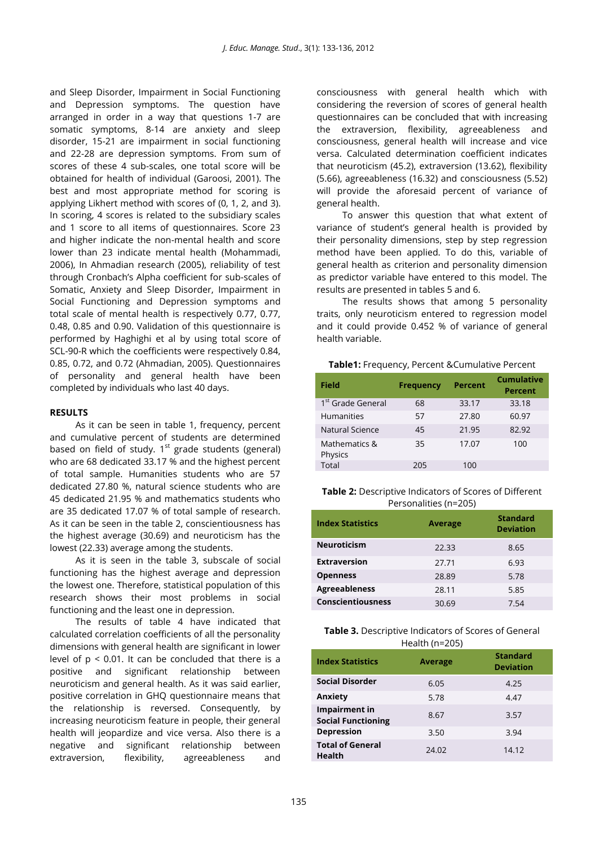and Sleep Disorder, Impairment in Social Functioning and Depression symptoms. The question have arranged in order in a way that questions 1-7 are somatic symptoms, 8-14 are anxiety and sleep disorder, 15-21 are impairment in social functioning and 22-28 are depression symptoms. From sum of scores of these 4 sub-scales, one total score will be obtained for health of individual (Garoosi, 2001). The best and most appropriate method for scoring is applying Likhert method with scores of (0, 1, 2, and 3). In scoring, 4 scores is related to the subsidiary scales and 1 score to all items of questionnaires. Score 23 and higher indicate the non-mental health and score lower than 23 indicate mental health (Mohammadi, 2006), In Ahmadian research (2005), reliability of test through Cronbach's Alpha coefficient for sub-scales of Somatic, Anxiety and Sleep Disorder, Impairment in Social Functioning and Depression symptoms and total scale of mental health is respectively 0.77, 0.77, 0.48, 0.85 and 0.90. Validation of this questionnaire is performed by Haghighi et al by using total score of SCL-90-R which the coefficients were respectively 0.84, 0.85, 0.72, and 0.72 (Ahmadian, 2005). Questionnaires of personality and general health have been completed by individuals who last 40 days.

#### **RESULTS**

As it can be seen in table 1, frequency, percent and cumulative percent of students are determined based on field of study.  $1<sup>st</sup>$  grade students (general) who are 68 dedicated 33.17 % and the highest percent of total sample. Humanities students who are 57 dedicated 27.80 %, natural science students who are 45 dedicated 21.95 % and mathematics students who are 35 dedicated 17.07 % of total sample of research. As it can be seen in the table 2, conscientiousness has the highest average (30.69) and neuroticism has the lowest (22.33) average among the students.

As it is seen in the table 3, subscale of social functioning has the highest average and depression the lowest one. Therefore, statistical population of this research shows their most problems in social functioning and the least one in depression.

The results of table 4 have indicated that calculated correlation coefficients of all the personality dimensions with general health are significant in lower level of  $p < 0.01$ . It can be concluded that there is a positive and significant relationship between neuroticism and general health. As it was said earlier, positive correlation in GHQ questionnaire means that the relationship is reversed. Consequently, by increasing neuroticism feature in people, their general health will jeopardize and vice versa. Also there is a negative and significant relationship between extraversion, flexibility, agreeableness and

consciousness with general health which with considering the reversion of scores of general health questionnaires can be concluded that with increasing the extraversion, flexibility, agreeableness and consciousness, general health will increase and vice versa. Calculated determination coefficient indicates that neuroticism (45.2), extraversion (13.62), flexibility (5.66), agreeableness (16.32) and consciousness (5.52) will provide the aforesaid percent of variance of general health.

To answer this question that what extent of variance of student's general health is provided by their personality dimensions, step by step regression method have been applied. To do this, variable of general health as criterion and personality dimension as predictor variable have entered to this model. The results are presented in tables 5 and 6.

The results shows that among 5 personality traits, only neuroticism entered to regression model and it could provide 0.452 % of variance of general health variable.

#### **Table1:** Frequency, Percent &Cumulative Percent

| Field                         | <b>Frequency</b> | <b>Percent</b> | Cumulative<br><b>Percent</b> |
|-------------------------------|------------------|----------------|------------------------------|
| 1 <sup>st</sup> Grade General | 68               | 33.17          | 33.18                        |
| <b>Humanities</b>             | 57               | 27.80          | 60.97                        |
| Natural Science               | 45               | 21.95          | 82.92                        |
| Mathematics &<br>Physics      | 35               | 17.07          | 100                          |
| Total                         | 205              | 100            |                              |

**Table 2:** Descriptive Indicators of Scores of Different Personalities (n=205)

| <b>Index Statistics</b>  |                | <b>Standard</b>  |
|--------------------------|----------------|------------------|
|                          | <b>Average</b> | <b>Deviation</b> |
| <b>Neuroticism</b>       | 22.33          | 8.65             |
| <b>Extraversion</b>      | 27.71          | 6.93             |
| <b>Openness</b>          | 28.89          | 5.78             |
| <b>Agreeableness</b>     | 28.11          | 5.85             |
| <b>Conscientiousness</b> | 30.69          | 7.54             |

#### **Table 3.** Descriptive Indicators of Scores of General  $H_{\alpha}$ alth (n=205)

| <b>Index Statistics</b>                    | <b>Average</b> | <b>Standard</b><br><b>Deviation</b> |
|--------------------------------------------|----------------|-------------------------------------|
| <b>Social Disorder</b>                     | 6.05           | 4.25                                |
| Anxiety                                    | 5.78           | 4.47                                |
| Impairment in<br><b>Social Functioning</b> | 8.67           | 3.57                                |
| <b>Depression</b>                          | 3.50           | 3.94                                |
| <b>Total of General</b><br><b>Health</b>   | 24.02          | 14.12                               |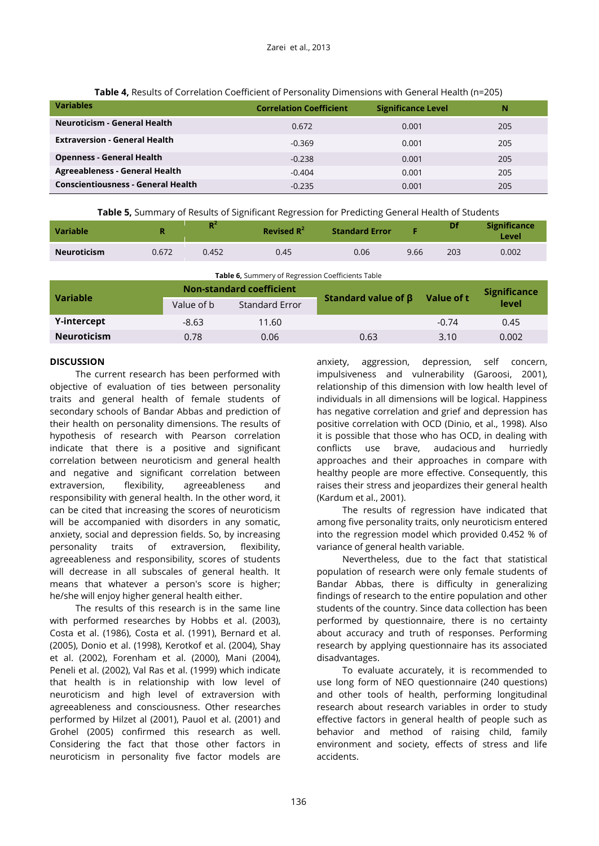| <b>Variables</b>                          | <b>Correlation Coefficient</b> | <b>Significance Level</b> | Ν   |
|-------------------------------------------|--------------------------------|---------------------------|-----|
| <b>Neuroticism - General Health</b>       | 0.672                          | 0.001                     | 205 |
| <b>Extraversion - General Health</b>      | $-0.369$                       | 0.001                     | 205 |
| <b>Openness - General Health</b>          | $-0.238$                       | 0.001                     | 205 |
| Agreeableness - General Health            | $-0.404$                       | 0.001                     | 205 |
| <b>Conscientiousness - General Health</b> | $-0.235$                       | 0.001                     | 205 |

**Table 5,** Summary of Results of Significant Regression for Predicting General Health of Students

| <b>Variable</b> |       | D.<br>. . | Revised $R^2$ | <b>Standard Error</b> |      | Df  | <b>Significance</b><br>Level |
|-----------------|-------|-----------|---------------|-----------------------|------|-----|------------------------------|
| Neuroticism     | 0.672 | 0.452     | 0.45          | 0.06                  | 9.66 | 203 | 0.002                        |

| <b>Table 6,</b> Summery of Regression Coefficients Table |  |
|----------------------------------------------------------|--|
|                                                          |  |

| <b>Variable</b>    | <b>Non-standard coefficient</b> |                |                           | Value of t | <b>Significance</b> |  |
|--------------------|---------------------------------|----------------|---------------------------|------------|---------------------|--|
|                    | Value of b                      | Standard Error | Standard value of $\beta$ |            | level               |  |
| Y-intercept        | $-8.63$                         | 11.60          |                           | $-0.74$    | 0.45                |  |
| <b>Neuroticism</b> | 0.78                            | 0.06           | 0.63                      | 3.10       | 0.002               |  |

## **DISCUSSION**

The current research has been performed with objective of evaluation of ties between personality traits and general health of female students of secondary schools of Bandar Abbas and prediction of their health on personality dimensions. The results of hypothesis of research with Pearson correlation indicate that there is a positive and significant correlation between neuroticism and general health and negative and significant correlation between extraversion, flexibility, agreeableness and responsibility with general health. In the other word, it can be cited that increasing the scores of neuroticism will be accompanied with disorders in any somatic, anxiety, social and depression fields. So, by increasing personality traits of extraversion, flexibility, agreeableness and responsibility, scores of students will decrease in all subscales of general health. It means that whatever a person's score is higher; he/she will enjoy higher general health either.

The results of this research is in the same line with performed researches by Hobbs et al. (2003), Costa et al. (1986), Costa et al. (1991), Bernard et al. (2005), Donio et al. (1998), Kerotkof et al. (2004), Shay et al. (2002), Forenham et al. (2000), Mani (2004), Peneli et al. (2002), Val Ras et al. (1999) which indicate that health is in relationship with low level of neuroticism and high level of extraversion with agreeableness and consciousness. Other researches performed by Hilzet al (2001), Pauol et al. (2001) and Grohel (2005) confirmed this research as well. Considering the fact that those other factors in neuroticism in personality five factor models are

anxiety, aggression, depression, self concern, impulsiveness and vulnerability (Garoosi, 2001), relationship of this dimension with low health level of individuals in all dimensions will be logical. Happiness has negative correlation and grief and depression has positive correlation with OCD (Dinio, et al., 1998). Also it is possible that those who has OCD, in dealing with conflicts use brave, audacious and hurriedly approaches and their approaches in compare with healthy people are more effective. Consequently, this raises their stress and jeopardizes their general health (Kardum et al., 2001).

The results of regression have indicated that among five personality traits, only neuroticism entered into the regression model which provided 0.452 % of variance of general health variable.

Nevertheless, due to the fact that statistical population of research were only female students of Bandar Abbas, there is difficulty in generalizing findings of research to the entire population and other students of the country. Since data collection has been performed by questionnaire, there is no certainty about accuracy and truth of responses. Performing research by applying questionnaire has its associated disadvantages.

To evaluate accurately, it is recommended to use long form of NEO questionnaire (240 questions) and other tools of health, performing longitudinal research about research variables in order to study effective factors in general health of people such as behavior and method of raising child, family environment and society, effects of stress and life accidents.